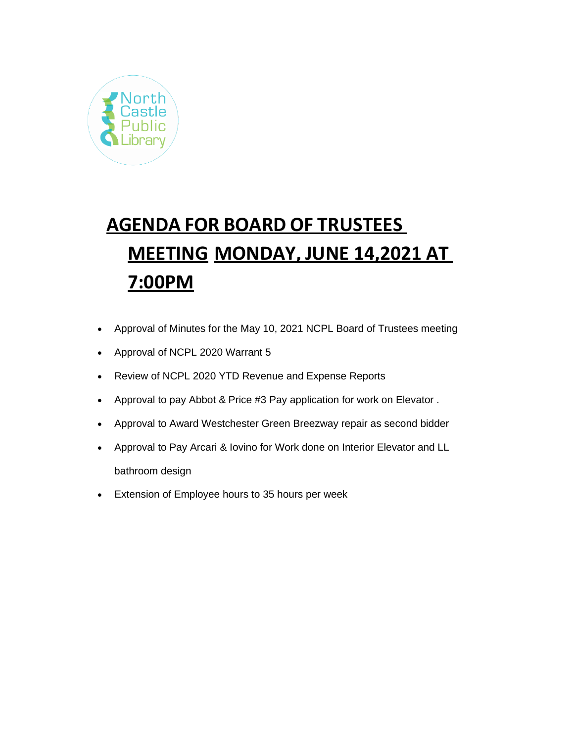

# **AGENDA FOR BOARD OF TRUSTEES MEETING MONDAY, JUNE 14,2021 AT 7:00PM**

- Approval of Minutes for the May 10, 2021 NCPL Board of Trustees meeting
- Approval of NCPL 2020 Warrant 5
- Review of NCPL 2020 YTD Revenue and Expense Reports
- Approval to pay Abbot & Price #3 Pay application for work on Elevator .
- Approval to Award Westchester Green Breezway repair as second bidder
- Approval to Pay Arcari & Iovino for Work done on Interior Elevator and LL bathroom design
- Extension of Employee hours to 35 hours per week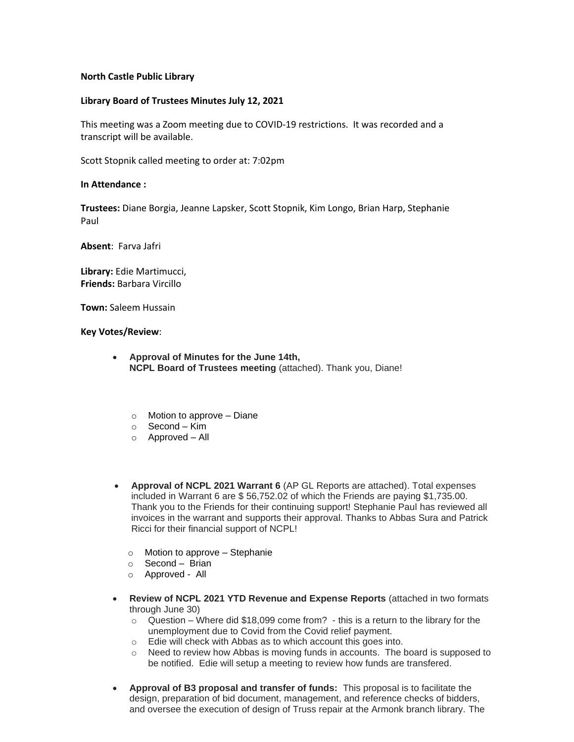# **North Castle Public Library**

# **Library Board of Trustees Minutes July 12, 2021**

This meeting was a Zoom meeting due to COVID-19 restrictions. It was recorded and a transcript will be available.

Scott Stopnik called meeting to order at: 7:02pm

#### **In Attendance :**

**Trustees:** Diane Borgia, Jeanne Lapsker, Scott Stopnik, Kim Longo, Brian Harp, Stephanie Paul

**Absent**: Farva Jafri

**Library:** Edie Martimucci, **Friends:** Barbara Vircillo

**Town:** Saleem Hussain

**Key Votes/Review**:

- **Approval of Minutes for the June 14th, NCPL Board of Trustees meeting** (attached). Thank you, Diane!
	- o Motion to approve Diane
	- $\circ$  Second Kim
	- o Approved All
- **Approval of NCPL 2021 Warrant 6** (AP GL Reports are attached). Total expenses included in Warrant 6 are \$ 56,752.02 of which the Friends are paying \$1,735.00. Thank you to the Friends for their continuing support! Stephanie Paul has reviewed all invoices in the warrant and supports their approval. Thanks to Abbas Sura and Patrick Ricci for their financial support of NCPL!
	- $\circ$  Motion to approve Stephanie
	- $\circ$  Second Brian
	- o Approved All
- **Review of NCPL 2021 YTD Revenue and Expense Reports** (attached in two formats through June 30)
	- $\circ$  Question Where did \$18,099 come from? this is a return to the library for the unemployment due to Covid from the Covid relief payment.
	- o Edie will check with Abbas as to which account this goes into.
	- $\circ$  Need to review how Abbas is moving funds in accounts. The board is supposed to be notified. Edie will setup a meeting to review how funds are transfered.
- **Approval of B3 proposal and transfer of funds:** This proposal is to facilitate the design, preparation of bid document, management, and reference checks of bidders, and oversee the execution of design of Truss repair at the Armonk branch library. The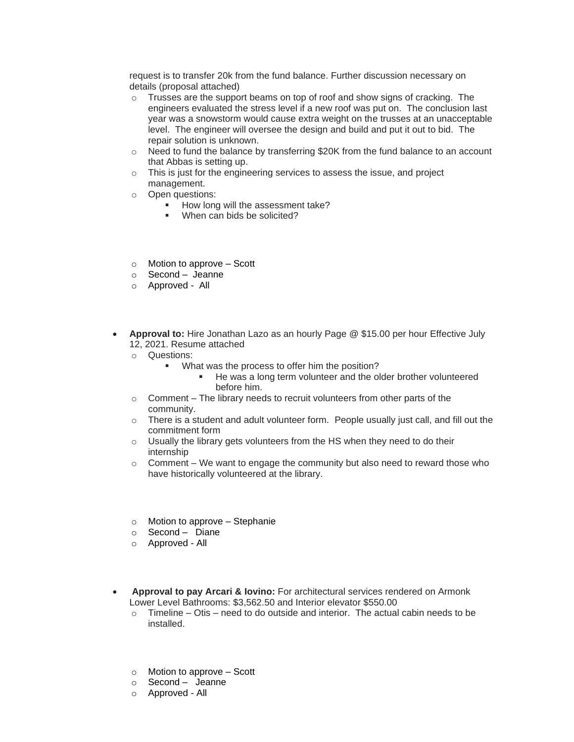request is to transfer 20k from the fund balance. Further discussion necessary on details (proposal attached)

- o Trusses are the support beams on top of roof and show signs of cracking. The engineers evaluated the stress level if a new roof was put on. The conclusion last year was a snowstorm would cause extra weight on the trusses at an unacceptable level. The engineer will oversee the design and build and put it out to bid. The repair solution is unknown.
- $\circ$  Need to fund the balance by transferring \$20K from the fund balance to an account that Abbas is setting up.
- o This is just for the engineering services to assess the issue, and project management.
- o Open questions:
	- How long will the assessment take?
	- When can bids be solicited?
- o Motion to approve Scott
- o Second Jeanne
- o Approved All
- **Approval to:** Hire Jonathan Lazo as an hourly Page @ \$15.00 per hour Effective July 12, 2021. Resume attached
	- o Questions:
		- What was the process to offer him the position?
			- He was a long term volunteer and the older brother volunteered before him.
	- $\circ$  Comment The library needs to recruit volunteers from other parts of the community.
	- $\circ$  There is a student and adult volunteer form. People usually just call, and fill out the commitment form
	- o Usually the library gets volunteers from the HS when they need to do their internship
	- $\circ$  Comment We want to engage the community but also need to reward those who have historically volunteered at the library.
	- o Motion to approve Stephanie
	- o Second Diane
	- o Approved All
- **Approval to pay Arcari & Iovino:** For architectural services rendered on Armonk Lower Level Bathrooms: \$3,562.50 and Interior elevator \$550.00
	- $\circ$  Timeline Otis need to do outside and interior. The actual cabin needs to be installed.
	- o Motion to approve Scott
	- o Second Jeanne
	- o Approved All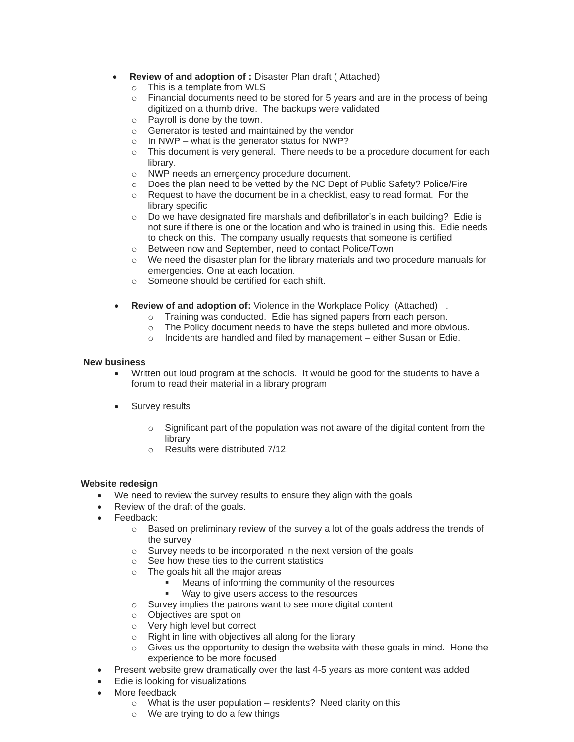- **Review of and adoption of :** Disaster Plan draft ( Attached)
	- $\circ$  This is a template from WLS<br> $\circ$  Financial documents need to
	- Financial documents need to be stored for 5 years and are in the process of being digitized on a thumb drive. The backups were validated
	- o Payroll is done by the town.
	- o Generator is tested and maintained by the vendor
	- $\circ$  In NWP what is the generator status for NWP?
	- $\circ$  This document is very general. There needs to be a procedure document for each library.
	- o NWP needs an emergency procedure document.
	- o Does the plan need to be vetted by the NC Dept of Public Safety? Police/Fire
	- $\circ$  Request to have the document be in a checklist, easy to read format. For the library specific
	- o Do we have designated fire marshals and defibrillator's in each building? Edie is not sure if there is one or the location and who is trained in using this. Edie needs to check on this. The company usually requests that someone is certified
	- o Between now and September, need to contact Police/Town
	- $\circ$  We need the disaster plan for the library materials and two procedure manuals for emergencies. One at each location.
	- o Someone should be certified for each shift.
- **Review of and adoption of:** Violence in the Workplace Policy (Attached).
	- o Training was conducted. Edie has signed papers from each person.
	- o The Policy document needs to have the steps bulleted and more obvious.
	- o Incidents are handled and filed by management either Susan or Edie.

# **New business**

- Written out loud program at the schools. It would be good for the students to have a forum to read their material in a library program
- Survey results
	- $\circ$  Significant part of the population was not aware of the digital content from the library
	- o Results were distributed 7/12.

# **Website redesign**

- We need to review the survey results to ensure they align with the goals
- Review of the draft of the goals.
- Feedback:
	- $\circ$  Based on preliminary review of the survey a lot of the goals address the trends of the survey
	- $\circ$  Survey needs to be incorporated in the next version of the goals
	- o See how these ties to the current statistics
	- o The goals hit all the major areas
		- Means of informing the community of the resources
			- Way to give users access to the resources
	- o Survey implies the patrons want to see more digital content
	- o Objectives are spot on
	- o Very high level but correct
	- o Right in line with objectives all along for the library
	- $\circ$  Gives us the opportunity to design the website with these goals in mind. Hone the experience to be more focused
- Present website grew dramatically over the last 4-5 years as more content was added
- Edie is looking for visualizations
- More feedback
	- $\circ$  What is the user population residents? Need clarity on this
	- o We are trying to do a few things